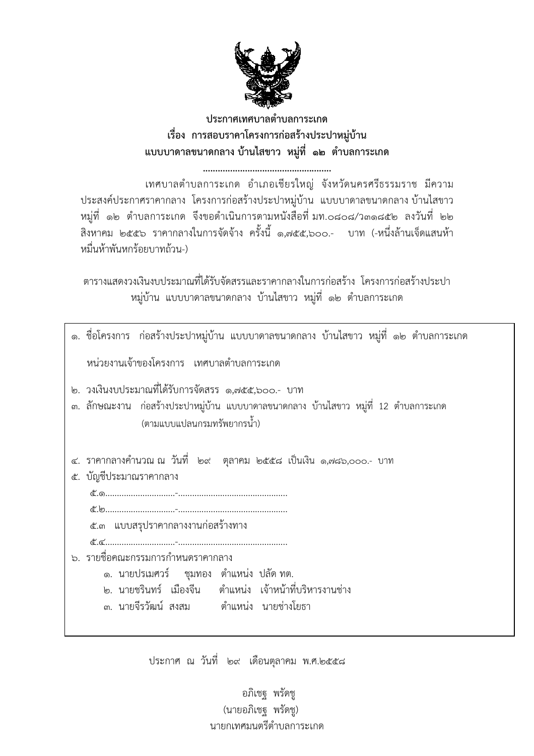

## ประกาศเทศบาลตำบลการะเกด เรื่อง การสอบราคาโครงการก่อสร้างประปาหม่บ้าน แบบบาดาลขนาดกลาง บ้านไสขาว หมู่ที่ ๑๒ ตำบลการะเกด

...... 

เทศบาลตำบลการะเกด อำเภอเชียรใหญ่ จังหวัดนครศรีธรรมราช มีความ ประสงค์ประกาศราคากลาง โครงการก่อสร้างประปาหมู่บ้าน แบบบาดาลขนาดกลาง บ้านไสขาว หมู่ที่ ๑๒ ตำบลการะเกด จึงขอดำเนินการตามหนังสือที่ มท.๐๘๐๘/ว๓๑๘๕๒ ลงวันที่ ๒๒ ้สิงหาคม ๒๕๕๖ ราคากลางในการจัดจ้าง ครั้งนี้ ๑,๗๕๕,๖๐๐.- บาท (-หนึ่งล้านเจ็ดแสนห้า หมื่นห้าพันหกร้อยบาทถ้วน-)

ิตารางแสดงวงเงินงบประมาณที่ได้รับจัดสรรและราคากลางในการก่อสร้าง โครงการก่อสร้างประปา หมู่บ้าน แบบบาดาลขนาดกลาง บ้านไสขาว หมู่ที่ ๑๒ ตำบลการะเกด

| ึด. ชื่อโครงการ  ก่อสร้างประปาหมู่บ้าน แบบบาดาลขนาดกลาง บ้านไสขาว หมู่ที่ ๑๒ ตำบลการะเกด                                                                                                  |
|-------------------------------------------------------------------------------------------------------------------------------------------------------------------------------------------|
| หน่วยงานเจ้าของโครงการ เทศบาลตำบลการะเกด                                                                                                                                                  |
| ๒. วงเงินงบประมาณที่ได้รับการจัดสรร ๑,๗๕๕,๖๐๐.- บาท<br>.๓. ลักษณะงาน ก่อสร้างประปาหมู่บ้าน แบบบาดาลขนาดกลาง บ้านไสขาว หมู่ที่ 12 ตำบลการะเกด<br>(ตามแบบแปลนกรมทรัพยากรน้ำ)                |
| ๔. ราคากลางคำนวณ ณ วันที่  ๒๙   ตุลาคม  ๒๕๕๘  เป็นเงิน  ๑,๗๘๖,๐๐๐.-  บาท<br>ู บัญชีประมาณราคากลาง<br>๕.<br>๕.๓ แบบสรุปราคากลางงานก่อสร้างทาง                                              |
| ึ ๖. รายชื่อคณะกรรมการกำหนดราคากลาง<br>๑. นายปรเมศวร์   ชุมทอง  ตำแหน่ง ปลัด ทต.<br>๒. นายชรินทร์ เมืองจีน  ตำแหน่ง เจ้าหน้าที่บริหารงานช่าง<br>๓. นายจีรวัฒน์ สงสม   ตำแหน่ง นายช่างโยธา |

ประกาศ ณ วันที่ ๒๙ เดือนตุลาคม พ.ศ.๒๕๕๘

อภิเชฐ พรัดชู (นายอภิเชฐ พรัดชู) นายกเทศมนตรีตำบลการะเกด